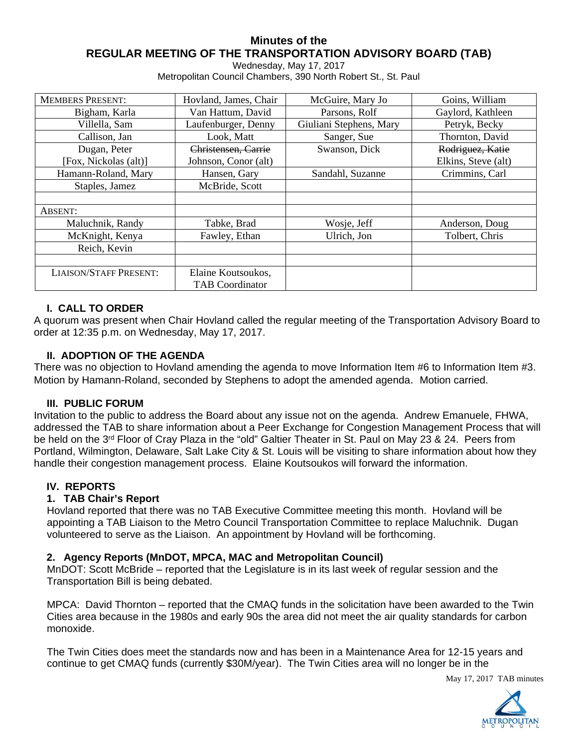# **Minutes of the REGULAR MEETING OF THE TRANSPORTATION ADVISORY BOARD (TAB)**

Wednesday, May 17, 2017

Metropolitan Council Chambers, 390 North Robert St., St. Paul

| <b>MEMBERS PRESENT:</b>       | Hovland, James, Chair  | McGuire, Mary Jo        | Goins, William      |
|-------------------------------|------------------------|-------------------------|---------------------|
| Bigham, Karla                 | Van Hattum, David      | Parsons, Rolf           | Gaylord, Kathleen   |
| Villella, Sam                 | Laufenburger, Denny    | Giuliani Stephens, Mary | Petryk, Becky       |
| Callison, Jan                 | Look, Matt             | Sanger, Sue             | Thornton, David     |
| Dugan, Peter                  | Christensen, Carrie    | Swanson, Dick           | Rodriguez, Katie    |
| [Fox, Nickolas (alt)]         | Johnson, Conor (alt)   |                         | Elkins, Steve (alt) |
| Hamann-Roland, Mary           | Hansen, Gary           | Sandahl, Suzanne        | Crimmins, Carl      |
| Staples, Jamez                | McBride, Scott         |                         |                     |
|                               |                        |                         |                     |
| ABSENT:                       |                        |                         |                     |
| Maluchnik, Randy              | Tabke, Brad            | Wosje, Jeff             | Anderson, Doug      |
| McKnight, Kenya               | Fawley, Ethan          | Ulrich, Jon             | Tolbert, Chris      |
| Reich, Kevin                  |                        |                         |                     |
|                               |                        |                         |                     |
| <b>LIAISON/STAFF PRESENT:</b> | Elaine Koutsoukos,     |                         |                     |
|                               | <b>TAB</b> Coordinator |                         |                     |

### **I. CALL TO ORDER**

A quorum was present when Chair Hovland called the regular meeting of the Transportation Advisory Board to order at 12:35 p.m. on Wednesday, May 17, 2017.

### **II. ADOPTION OF THE AGENDA**

There was no objection to Hovland amending the agenda to move Information Item #6 to Information Item #3. Motion by Hamann-Roland, seconded by Stephens to adopt the amended agenda. Motion carried.

### **III. PUBLIC FORUM**

Invitation to the public to address the Board about any issue not on the agenda. Andrew Emanuele, FHWA, addressed the TAB to share information about a Peer Exchange for Congestion Management Process that will be held on the 3<sup>rd</sup> Floor of Cray Plaza in the "old" Galtier Theater in St. Paul on May 23 & 24. Peers from Portland, Wilmington, Delaware, Salt Lake City & St. Louis will be visiting to share information about how they handle their congestion management process. Elaine Koutsoukos will forward the information.

### **IV. REPORTS**

### **1. TAB Chair's Report**

Hovland reported that there was no TAB Executive Committee meeting this month. Hovland will be appointing a TAB Liaison to the Metro Council Transportation Committee to replace Maluchnik. Dugan volunteered to serve as the Liaison. An appointment by Hovland will be forthcoming.

### **2. Agency Reports (MnDOT, MPCA, MAC and Metropolitan Council)**

MnDOT: Scott McBride – reported that the Legislature is in its last week of regular session and the Transportation Bill is being debated.

MPCA: David Thornton – reported that the CMAQ funds in the solicitation have been awarded to the Twin Cities area because in the 1980s and early 90s the area did not meet the air quality standards for carbon monoxide.

The Twin Cities does meet the standards now and has been in a Maintenance Area for 12-15 years and continue to get CMAQ funds (currently \$30M/year). The Twin Cities area will no longer be in the

May 17, 2017 TAB minutes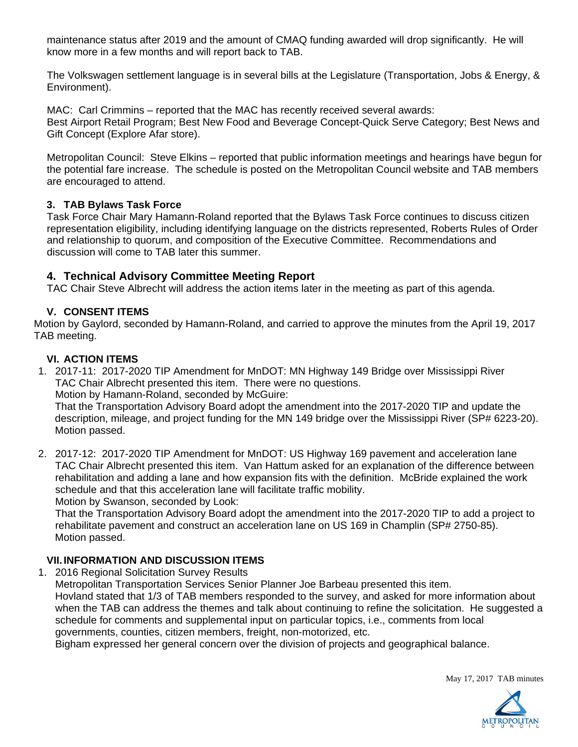maintenance status after 2019 and the amount of CMAQ funding awarded will drop significantly. He will know more in a few months and will report back to TAB.

The Volkswagen settlement language is in several bills at the Legislature (Transportation, Jobs & Energy, & Environment).

MAC: Carl Crimmins – reported that the MAC has recently received several awards: Best Airport Retail Program; Best New Food and Beverage Concept-Quick Serve Category; Best News and Gift Concept (Explore Afar store).

Metropolitan Council: Steve Elkins – reported that public information meetings and hearings have begun for the potential fare increase. The schedule is posted on the Metropolitan Council website and TAB members are encouraged to attend.

### **3. TAB Bylaws Task Force**

Task Force Chair Mary Hamann-Roland reported that the Bylaws Task Force continues to discuss citizen representation eligibility, including identifying language on the districts represented, Roberts Rules of Order and relationship to quorum, and composition of the Executive Committee. Recommendations and discussion will come to TAB later this summer.

## **4. Technical Advisory Committee Meeting Report**

TAC Chair Steve Albrecht will address the action items later in the meeting as part of this agenda.

## **V. CONSENT ITEMS**

Motion by Gaylord, seconded by Hamann-Roland, and carried to approve the minutes from the April 19, 2017 TAB meeting.

### **VI. ACTION ITEMS**

1. 2017-11: 2017-2020 TIP Amendment for MnDOT: MN Highway 149 Bridge over Mississippi River TAC Chair Albrecht presented this item. There were no questions. Motion by Hamann-Roland, seconded by McGuire:

That the Transportation Advisory Board adopt the amendment into the 2017-2020 TIP and update the description, mileage, and project funding for the MN 149 bridge over the Mississippi River (SP# 6223-20). Motion passed.

2. 2017-12: 2017-2020 TIP Amendment for MnDOT: US Highway 169 pavement and acceleration lane TAC Chair Albrecht presented this item. Van Hattum asked for an explanation of the difference between rehabilitation and adding a lane and how expansion fits with the definition. McBride explained the work schedule and that this acceleration lane will facilitate traffic mobility. Motion by Swanson, seconded by Look:

That the Transportation Advisory Board adopt the amendment into the 2017-2020 TIP to add a project to rehabilitate pavement and construct an acceleration lane on US 169 in Champlin (SP# 2750-85). Motion passed.

## **VII. INFORMATION AND DISCUSSION ITEMS**

1. 2016 Regional Solicitation Survey Results

Metropolitan Transportation Services Senior Planner Joe Barbeau presented this item.

Hovland stated that 1/3 of TAB members responded to the survey, and asked for more information about when the TAB can address the themes and talk about continuing to refine the solicitation. He suggested a schedule for comments and supplemental input on particular topics, i.e., comments from local governments, counties, citizen members, freight, non-motorized, etc.

Bigham expressed her general concern over the division of projects and geographical balance.